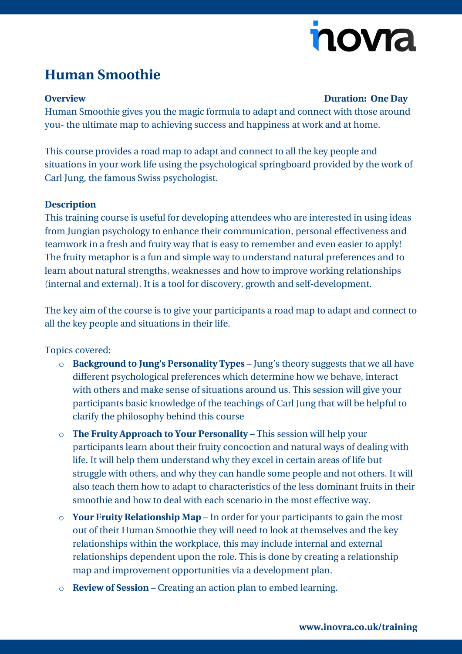# nova

## **Human Smoothie**

#### **Overview Duration: One Day**

Human Smoothie gives you the magic formula to adapt and connect with those around you- the ultimate map to achieving success and happiness at work and at home.

This course provides a road map to adapt and connect to all the key people and situations in your work life using the psychological springboard provided by the work of Carl Jung, the famous Swiss psychologist.

#### **Description**

This training course is useful for developing attendees who are interested in using ideas from Jungian psychology to enhance their communication, personal effectiveness and teamwork in a fresh and fruity way that is easy to remember and even easier to apply! The fruity metaphor is a fun and simple way to understand natural preferences and to learn about natural strengths, weaknesses and how to improve working relationships (internal and external). It is a tool for discovery, growth and self-development.

The key aim of the course is to give your participants a road map to adapt and connect to all the key people and situations in their life.

### Topics covered:

- o **Background to Jung's Personality Types** Jung's theory suggests that we all have different psychological preferences which determine how we behave, interact with others and make sense of situations around us. This session will give your participants basic knowledge of the teachings of Carl Jung that will be helpful to clarify the philosophy behind this course
- o **The Fruity Approach to Your Personality** This session will help your participants learn about their fruity concoction and natural ways of dealing with life. It will help them understand why they excel in certain areas of life but struggle with others, and why they can handle some people and not others. It will also teach them how to adapt to characteristics of the less dominant fruits in their smoothie and how to deal with each scenario in the most effective way.
- o **Your Fruity Relationship Map** In order for your participants to gain the most out of their Human Smoothie they will need to look at themselves and the key relationships within the workplace, this may include internal and external relationships dependent upon the role. This is done by creating a relationship map and improvement opportunities via a development plan.
- o **Review of Session** Creating an action plan to embed learning.